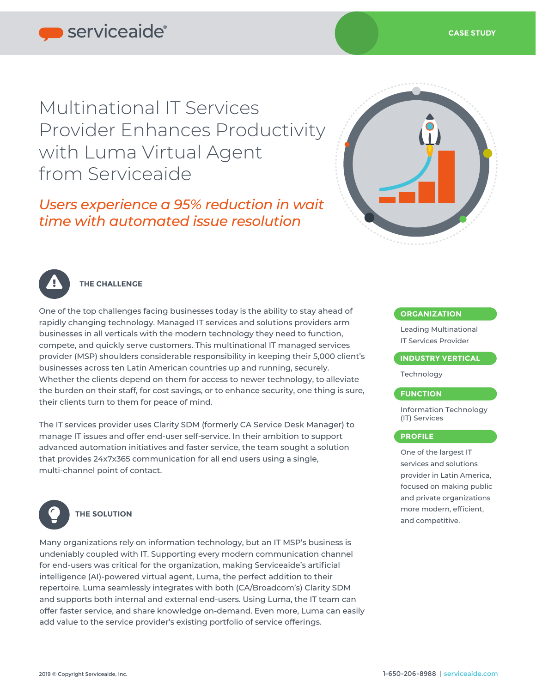Multinational IT Services Provider Enhances Productivity with Luma Virtual Agent from Serviceaide

*Users experience a 95% reduction in wait time with automated issue resolution*





# **THE CHALLENGE**

One of the top challenges facing businesses today is the ability to stay ahead of rapidly changing technology. Managed IT services and solutions providers arm businesses in all verticals with the modern technology they need to function, compete, and quickly serve customers. This multinational IT managed services provider (MSP) shoulders considerable responsibility in keeping their 5,000 client's businesses across ten Latin American countries up and running, securely. Whether the clients depend on them for access to newer technology, to alleviate the burden on their staff, for cost savings, or to enhance security, one thing is sure, their clients turn to them for peace of mind.

The IT services provider uses Clarity SDM (formerly CA Service Desk Manager) to manage IT issues and offer end-user self-service. In their ambition to support advanced automation initiatives and faster service, the team sought a solution that provides 24x7x365 communication for all end users using a single, multi-channel point of contact.



### **THE SOLUTION**

Many organizations rely on information technology, but an IT MSP's business is undeniably coupled with IT. Supporting every modern communication channel for end-users was critical for the organization, making Serviceaide's artificial intelligence (AI)-powered virtual agent, Luma, the perfect addition to their repertoire. Luma seamlessly integrates with both (CA/Broadcom's) Clarity SDM and supports both internal and external end-users. Using Luma, the IT team can offer faster service, and share knowledge on-demand. Even more, Luma can easily add value to the service provider's existing portfolio of service offerings.

#### **ORGANIZATION**

Leading Multinational IT Services Provider

#### **INDUSTRY VERTICAL**

Technology

#### **FUNCTION**

Information Technology (IT) Services

#### **PROFILE**

One of the largest IT services and solutions provider in Latin America, focused on making public and private organizations more modern, efficient, and competitive.